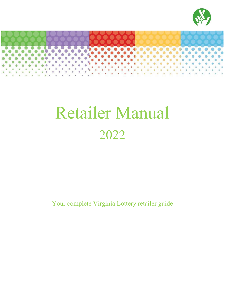



# Retailer Manual 2022

Your complete Virginia Lottery retailer guide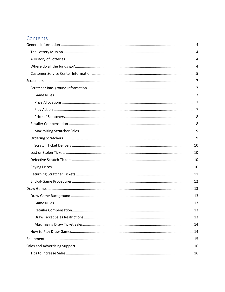# Contents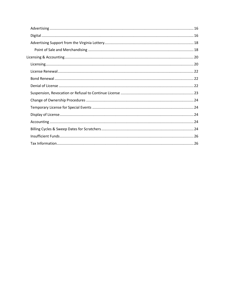<span id="page-2-0"></span>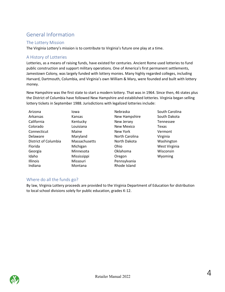# General Information

# <span id="page-3-0"></span>The Lottery Mission

The Virginia Lottery's mission is to contribute to Virginia's future one play at a time.

# <span id="page-3-1"></span>A History of Lotteries

Lotteries, as a means of raising funds, have existed for centuries. Ancient Rome used lotteries to fund public construction and support military operations. One of America's first permanent settlements, Jamestown Colony, was largely funded with lottery monies. Many highly regarded colleges, including Harvard, Dartmouth, Columbia, and Virginia's own William & Mary, were founded and built with lottery money.

New Hampshire was the first state to start a modern lottery. That was in 1964. Since then, 46 states plus the District of Columbia have followed New Hampshire and established lotteries. Virginia began selling lottery tickets in September 1988. Jurisdictions with legalized lotteries include:

| Arizona              | Iowa          | Nebraska       | South Carolina |
|----------------------|---------------|----------------|----------------|
| Arkansas             | Kansas        | New Hampshire  | South Dakota   |
| California           | Kentucky      | New Jersey     | Tennessee      |
| Colorado             | Louisiana     | New Mexico     | Texas          |
| Connecticut          | Maine         | New York       | Vermont        |
| Delaware             | Maryland      | North Carolina | Virginia       |
| District of Columbia | Massachusetts | North Dakota   | Washington     |
| Florida              | Michigan      | Ohio           | West Virginia  |
| Georgia              | Minnesota     | Oklahoma       | Wisconsin      |
| Idaho                | Mississippi   | Oregon         | Wyoming        |
| Illinois             | Missouri      | Pennsylvania   |                |
| Indiana              | Montana       | Rhode Island   |                |

# <span id="page-3-2"></span>Where do all the funds go?

By law, Virginia Lottery proceeds are provided to the Virginia Department of Education for distribution to local school divisions solely for public education, grades K-12.

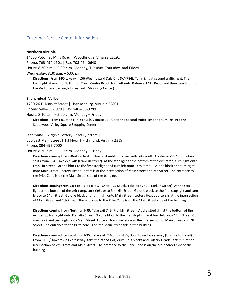## <span id="page-4-0"></span>Customer Service Center Information

#### **Northern Virginia**

14550 Potomac Mills Road | Woodbridge, Virginia 22192 Phone: 703-494-1501 | Fax: 703-494-0640 Hours: 8:30 a.m. – 5:00 p.m. Monday, Tuesday, Thursday, and Friday. Wednesday: 8:30 a.m. – 6:00 p.m.

**Directions:** From I-95 take exit 156 West toward Dale City (VA-784). Turn right at second traffic light. Then turn right at next traffic light on Town Center Road. Turn left onto Potomac Mills Road, and then turn left into the VA Lottery parking lot (Festival II Shopping Center).

#### **Shenandoah Valley**

1790-26 E. Market Street | Harrisonburg, Virginia 22801

Phone: 540-433-7979 | Fax: 540-433-9299

Hours: 8:30 a.m. – 5:00 p.m. Monday – Friday

**Directions:** From I-81 take exit 247-A (US Route 33). Go to the second traffic light and turn left into the Spotswood Valley Square Shopping Center.

**Richmond** – Virginia Lottery Head Quarters |

600 East Main Street | 1st Floor | Richmond, Virginia 2319

Phone: 804-692-7000

Hours: 8:30 a.m. – 5:00 p.m. Monday – Friday

**Directions coming from West on I-64**: Follow I-64 until it merges with I-95 South. Continue I-95 South when it splits from I-64. Take exit 74B (Franklin Street). At the stoplight at the bottom of the exit ramp, turn right onto Franklin Street. Go one block to the first stoplight and turn left onto 14th Street. Go one block and turn right onto Main Street. Lottery Headquarters is at the intersection of Main Street and 7th Street. The entrance to the Prize Zone is on the Main Street side of the building.

**Directions coming from East on I-64:** Follow I-64 to I-95 South. Take exit 74B (Franklin Street). At the stoplight at the bottom of the exit ramp, turn right onto Franklin Street. Go one block to the first stoplight and turn left onto 14th Street. Go one block and turn right onto Main Street. Lottery Headquarters is at the intersection of Main Street and 7th Street. The entrance to the Prize Zone is on the Main Street side of the building.

**Directions coming from North on I-95:** Take exit 74B (Franklin Street). At the stoplight at the bottom of the exit ramp, turn right onto Franklin Street. Go one block to the first stoplight and turn left onto 14th Street. Go one block and turn right onto Main Street. Lottery Headquarters is at the intersection of Main Street and 7th Street. The entrance to the Prize Zone is on the Main Street side of the building.

**Directions coming from South on I-95:** Take exit 74A onto I-195/Downtown Expressway (this is a toll road). From I-195/Downtown Expressway, take the 7th St Exit, drive up 3 blocks and Lottery Headquarters is at the intersection of 7th Street and Main Street. The entrance to the Prize Zone is on the Main Street side of the building.

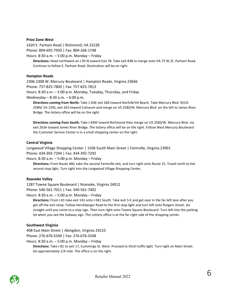#### **Prize Zone West**

1620 E. Parham Road | Richmond, VA 23228 Phone: 804-692-7950 | Fax: 804-266-1748

Hours: 8:30 a.m. – 5:00 p.m. Monday – Friday

**Directions:** Head northwest on I-95 N toward Exit 78. Take exit 83B to merge onto VA-73 W./E. Parham Road. Continue to follow E. Parham Road. Destination will be on right.

#### **Hampton Roads**

2306-2308 W. Mercury Boulevard | Hampton Roads, Virginia 23666 Phone: 757-825-7800 | Fax: 757-825-7813 Hours: 8:30 a.m. – 5:00 p.m. Monday, Tuesday, Thursday, and Friday

Wednesday – 8:30 a.m. – 6:00 p.m.

**Directions coming from North:** Take 1-64E exit 28A toward Norfolk/VA Beach. Take Mercury Blvd. N/US-258N/ VA 134S, exit 263 toward Coliseum and merge on US 258S/W. Mercury Blvd. on the left to James River Bridge. The lottery office will be on the right.

**Directions coming from South:** Take I-64W toward Richmond then merge on US 258S/W. Mercury Blvd. via exit 263A toward James River Bridge. The lottery office will be on the right. Follow West Mercury Boulevard the Customer Service Center is in a small shopping center on the right.

#### **Central Virginia**

Longwood Village Shopping Center | 1506 South Main Street | Farmville, Virginia 23901 Phone: 434-392-7294 | Fax: 434-392-7292

Hours: 8:30 a.m. – 5:00 p.m. Monday – Friday

**Directions:** From Route 460, take the second Farmville exit, and turn right onto Route 15. Travel north to the second stop light. Turn right into the Longwood Village Shopping Center.

#### **Roanoke Valley**

1287 Towne Square Boulevard | Roanoke, Virginia 24012 Phone: 540-561-7011 | Fax: 540-561-7402

Hours: 8:30 a.m. – 5:00 p.m. Monday – Friday

**Directions:** From I-81 take exit 143 onto I-581 South. Take exit 3-E and get over in the far-left lane after you get off the exit ramp. Follow Hershberger Road to the first stop light and turn left onto Rutgers Street. Go straight until you come to a stop sign. Then turn right onto Towne Square Boulevard. Turn left into the parking lot when you see the Subway sign. The Lottery office is at the far-right side of the shopping center.

#### **Southwest Virginia**

408 East Main Street | Abingdon, Virginia 24210

Phone: 276-676-5540 | Fax: 276-676-5548

Hours: 8:30 a.m. – 5:00 p.m. Monday – Friday

**Directions:** Take I-81 to exit 17, Cummings St. West. Proceed to third traffic light. Turn right on Main Street. Go approximately 1/4 mile. The office is on the right.

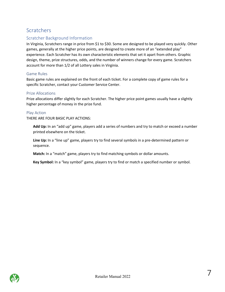# <span id="page-6-0"></span>**Scratchers**

# <span id="page-6-1"></span>Scratcher Background Information

In Virginia, Scratchers range in price from \$1 to \$30. Some are designed to be played very quickly. Other games, generally at the higher price points, are designed to create more of an "extended play" experience. Each Scratcher has its own characteristic elements that set it apart from others. Graphic design, theme, prize structures, odds, and the number of winners change for every game. Scratchers account for more than 1/2 of all Lottery sales in Virginia.

## <span id="page-6-2"></span>Game Rules

Basic game rules are explained on the front of each ticket. For a complete copy of game rules for a specific Scratcher, contact your Customer Service Center.

## <span id="page-6-3"></span>Prize Allocations

Prize allocations differ slightly for each Scratcher. The higher price point games usually have a slightly higher percentage of money in the prize fund.

## <span id="page-6-4"></span>Play Action

THERE ARE FOUR BASIC PLAY ACTIONS:

**Add Up:** In an "add up" game, players add a series of numbers and try to match or exceed a number printed elsewhere on the ticket.

**Line Up:** In a "line up" game, players try to find several symbols in a pre-determined pattern or sequence.

**Match:** In a "match" game, players try to find matching symbols or dollar amounts.

**Key Symbol:** In a "key symbol" game, players try to find or match a specified number or symbol.

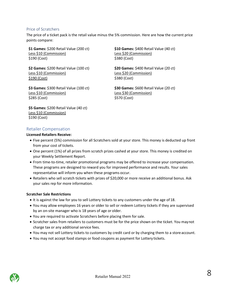# Price of Scratchers

The price of a ticket pack is the retail value minus the 5% commission. Here are how the current price points compare:

**\$1 Games:** \$200 Retail Value (200 ct) Less \$10 (Commission) \$190 (Cost)

**\$2 Games:** \$200 Retail Value (100 ct) Less \$10 (Commission) \$190 (Cost)

**\$3 Games:** \$300 Retail Value (100 ct) Less \$10 (Commission) \$285 (Cost)

**\$10 Games:** \$400 Retail Value (40 ct) Less \$20 (Commission) \$380 (Cost)

**\$20 Games:** \$400 Retail Value (20 ct) Less \$20 (Commission) \$380 (Cost)

**\$30 Games:** \$600 Retail Value (20 ct) Less \$30 (Commission) \$570 (Cost)

**\$5 Games:** \$200 Retail Value (40 ct) Less \$10 (Commission) \$190 (Cost)

# <span id="page-7-0"></span>Retailer Compensation

## **Licensed Retailers Receive:**

- Five percent (5%) commission for all Scratchers sold at your store. This money is deducted up front from your cost of tickets.
- One percent (1%) of all prizes from scratch prizes cashed at your store. This money is credited on your Weekly Settlement Report.
- From time-to-time, retailer promotional programs may be offered to increase your compensation. These programs are designed to reward you for improved performance and results. Your sales representative will inform you when these programs occur.
- Retailers who sell scratch tickets with prizes of \$20,000 or more receive an additional bonus. Ask your sales rep for more information.

# **Scratcher Sale Restrictions**

- It is against the law for you to sell Lottery tickets to any customers under the age of 18.
- You may allow employees 16 years or older to sell or redeem Lottery tickets if they are supervised by an on-site manager who is 18 years of age or older.
- You are required to activate Scratchers before placing them for sale.
- Scratcher sales from retailers to customers must be for the price shown on the ticket. You maynot charge tax or any additional service fees.
- You may not sell Lottery tickets to customers by credit card or by charging them to a store account.
- You may not accept food stamps or food coupons as payment for Lottery tickets.

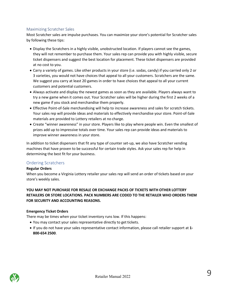## <span id="page-8-0"></span>Maximizing Scratcher Sales

Most Scratcher sales are impulse purchases. You can maximize your store's potential for Scratcher sales by following these tips:

- Display the Scratchers in a highly visible, unobstructed location. If players cannot see the games, they will not remember to purchase them. Your sales rep can provide you with highly visible, secure ticket dispensers and suggest the best location for placement. These ticket dispensers are provided at no cost to you.
- Carry a variety of games. Like other products in your store (i.e. sodas, candy) if you carried only 2 or 3 varieties, you would not have choices that appeal to all your customers. Scratchers are the same. We suggest you carry at least 20 games in order to have choices that appeal to all your current customers and potential customers.
- Always activate and display the newest games as soon as they are available. Players always want to try a new game when it comes out. Your Scratcher sales will be higher during the first 2 weeks of a new game if you stock and merchandise them properly.
- Effective Point-of-Sale merchandising will help to increase awareness and sales for scratch tickets. Your sales rep will provide ideas and materials to effectively merchandise your store. Point-of-Sale materials are provided to Lottery retailers at no charge.
- Create "winner awareness" in your store. Players like to play where people win. Even the smallest of prizes add up to impressive totals over time. Your sales rep can provide ideas and materials to improve winner awareness in your store.

In addition to ticket dispensers that fit any type of counter set-up, we also have Scratcher vending machines that have proven to be successful for certain trade styles. Ask your sales rep for help in determining the best fit for your business.

# <span id="page-8-1"></span>Ordering Scratchers

#### **Regular Orders**

When you become a Virginia Lottery retailer your sales rep will send an order of tickets based on your store's weekly sales.

# **YOU MAY NOT PURCHASE FOR RESALE OR EXCHANGE PACKS OF TICKETS WITH OTHER LOTTERY RETAILERS OR STORE LOCATIONS. PACK NUMBERS ARE CODED TO THE RETAILER WHO ORDERS THEM FOR SECURITY AND ACCOUNTING REASONS.**

#### **Emergency Ticket Orders**

There may be times when your ticket inventory runs low. If this happens:

- You may contact your sales representative directly to get tickets.
- If you do not have your sales representative contact information, please call retailer support at **1- 800-654 2500**.

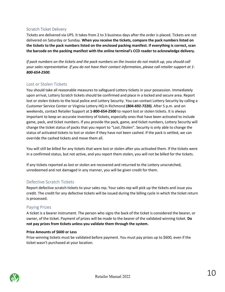# <span id="page-9-0"></span>Scratch Ticket Delivery

Tickets are delivered via UPS. It takes from 2 to 3 business days after the order is placed. Tickets are not delivered on Saturday or Sunday. **When you receive the tickets, compare the pack numbers listed on the tickets to the pack numbers listed on the enclosed packing manifest. If everything is correct, scan the barcode on the packing manifest with the online terminal's CCD reader to acknowledge delivery.**

*If pack numbers on the tickets and the pack numbers on the invoice do not match up, you should call your sales representative. If you do not have their contact information, please call retailer support at 1- 800-654-2500.*

# <span id="page-9-1"></span>Lost or Stolen Tickets

You should take all reasonable measures to safeguard Lottery tickets in your possession. Immediately upon arrival, Lottery Scratch tickets should be confirmed and place in a locked and secure area. Report lost or stolen tickets to the local police and Lottery Security. You can contact Lottery Security by calling a Customer Service Center or Virginia Lottery HQ in Richmond **(804-692-7220)**. After 5 p.m. and on weekends, contact Retailer Support at **1-800-654-2500** to report lost or stolen tickets. It is always important to keep an accurate inventory of tickets, especially ones that have been activated to include game, pack, and ticket numbers. If you provide the pack, game, and ticket numbers, Lottery Security will change the ticket status of packs that you report to "Lost /Stolen". Security is only able to change the status of activated tickets to lost or stolen if they have not been cashed. If the pack is settled, we can override the cashed tickets and move them all.

You will still be billed for any tickets that were lost or stolen after you activated them. If the tickets were in a confirmed status, but not active, and you report them stolen, you will not be billed for the tickets.

If any tickets reported as lost or stolen are recovered and returned to the Lottery unscratched, unredeemed and not damaged in any manner, you will be given credit for them.

# <span id="page-9-2"></span>Defective Scratch Tickets

Report defective scratch tickets to your sales rep. Your sales rep will pick up the tickets and issue you credit. The credit for any defective tickets will be issued during the billing cycle in which the ticket return is processed.

# <span id="page-9-3"></span>Paying Prizes

A ticket is a bearer instrument. The person who signs the back of the ticket is considered the bearer, or owner, of the ticket. Payment of prizes will be made to the bearer of the validated winning ticket. **Do not pay prizes from tickets unless you validate them through the system.**

#### **Prize Amounts of \$600 or Less**

Prize-winning tickets must be validated before payment. You must pay prizes up to \$600, even if the ticket wasn't purchased at your location.

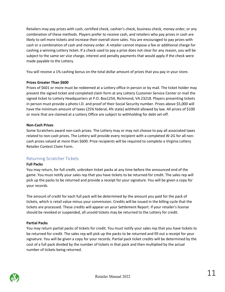Retailers may pay prizes with cash, certified check, cashier's check, business check, money order, or any combination of these methods. Players prefer to receive cash, and retailers who pay prizes in cash are likely to sell more tickets and increase their overall store sales. You are encouraged to pay prizes with cash or a combination of cash and money order. A retailer cannot impose a fee or additional charge for cashing a winning Lottery ticket. If a check used to pay a prize does not clear for any reason, you will be subject to the same ser vice charge, interest and penalty payments that would apply if the check were made payable to the Lottery.

You will receive a 1% cashing bonus on the total dollar amount of prizes that you pay in your store.

## **Prizes Greater Than \$600**

Prizes of \$601 or more must be redeemed at a Lottery office in person or by mail. The ticket holder may present the signed ticket and completed claim form at any Lottery Customer Service Center or mail the signed ticket to Lottery Headquarters at P.O. Box1254, Richmond, VA 23218. Players presenting tickets in person must provide a photo I.D. and proof of their Social Security number. Prizes above \$5,000 will have the minimum amount of taxes (25% federal, 4% state) withheld allowed by law. All prizes of \$100 or more that are claimed at a Lottery Office are subject to withholding for debt set-off.

## **Non-Cash Prizes**

Some Scratchers award non-cash prizes. The Lottery may or may not choose to pay all associated taxes related to non-cash prizes. The Lottery will provide every recipient with a completed W-2G for all noncash prizes valued at more than \$600. Prize recipients will be required to complete a Virginia Lottery Retailer Contest Claim Form.

# <span id="page-10-0"></span>Returning Scratcher Tickets

# **Full Packs**

You may return, for full credit, unbroken ticket packs at any time before the announced end of the game. You must notify your sales rep that you have tickets to be returned for credit. The sales rep will pick up the packs to be returned and provide a receipt for your signature. You will be given a copy for your records.

The amount of credit for each full pack will be determined by the amount you paid for the pack of tickets, which is retail value minus your commission. Credits will be issued in the billing cycle that the tickets are processed. These credits will appear on your Settlement Report. If your retailer's license should be revoked or suspended, all unsold tickets may be returned to the Lottery for credit.

# **Partial Packs**

You may return partial packs of tickets for credit. You must notify your sales rep that you have tickets to be returned for credit. The sales rep will pick up the packs to be returned and fill out a receipt for your signature. You will be given a copy for your records. Partial pack ticket credits will be determined by the cost of a full pack divided by the number of tickets in that pack and then multiplied by the actual number of tickets being returned.

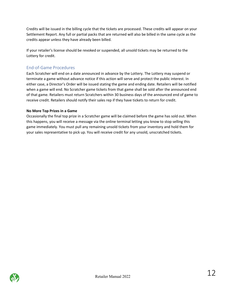Credits will be issued in the billing cycle that the tickets are processed. These credits will appear on your Settlement Report. Any full or partial packs that are returned will also be billed in the same cycle as the credits appear unless they have already been billed.

If your retailer's license should be revoked or suspended, all unsold tickets may be returned to the Lottery for credit.

# <span id="page-11-0"></span>End-of-Game Procedures

Each Scratcher will end on a date announced in advance by the Lottery. The Lottery may suspend or terminate a game without advance notice if this action will serve and protect the public interest. In either case, a Director's Order will be issued stating the game and ending date. Retailers will be notified when a game will end. No Scratcher game tickets from that game shall be sold after the announced end of that game. Retailers must return Scratchers within 30 business days of the announced end of game to receive credit. Retailers should notify their sales rep if they have tickets to return for credit.

# **No More Top Prizes in a Game**

Occasionally the final top prize in a Scratcher game will be claimed before the game has sold out. When this happens, you will receive a message via the online terminal letting you know to stop selling this game immediately. You must pull any remaining unsold tickets from your inventory and hold them for your sales representative to pick up. You will receive credit for any unsold, unscratched tickets.

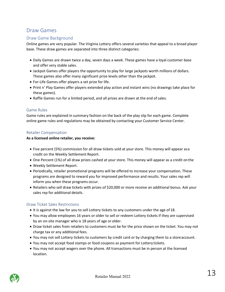# <span id="page-12-0"></span>Draw Games

# <span id="page-12-1"></span>Draw Game Background

Online games are very popular. The Virginia Lottery offers several varieties that appeal to a broad player base. These draw games are separated into three distinct categories:

- Daily Games are drawn twice a day, seven days a week. These games have a loyal customer base and offer very stable sales.
- Jackpot Games offer players the opportunity to play for large jackpots worth millions of dollars. These games also offer many significant prize levels other than the jackpot.
- For-Life Games offer players a set prize for life.
- Print n' Play Games offer players extended play action and instant wins (no drawings take place for these games).
- Raffle Games run for a limited period, and all prizes are drawn at the end ofsales.

#### <span id="page-12-2"></span>Game Rules

Game rules are explained in summary fashion on the back of the play slip for each game. Complete online game rules and regulations may be obtained by contacting your Customer Service Center.

## <span id="page-12-3"></span>Retailer Compensation

#### **As a licensed online retailer, you receive:**

- Five percent (5%) commission for all draw tickets sold at your store. This money will appear asa credit on the Weekly Settlement Report.
- One Percent (1%) of all draw prizes cashed at your store. This money will appear as a credit on the
- Weekly Settlement Report.
- Periodically, retailer promotional programs will be offered to increase your compensation. These programs are designed to reward you for improved performance and results. Your sales rep will inform you when these programs occur.
- Retailers who sell draw tickets with prizes of \$20,000 or more receive an additional bonus. Ask your sales rep for additional details.

#### <span id="page-12-4"></span>Draw Ticket Sales Restrictions

- It is against the law for you to sell Lottery tickets to any customers under the age of 18.
- You may allow employees 16 years or older to sell or redeem Lottery tickets if they are supervised by an on-site manager who is 18 years of age or older.
- Draw ticket sales from retailers to customers must be for the price shown on the ticket. You may not charge tax or any additional fees.
- You may not sell Lottery tickets to customers by credit card or by charging them to a store account.
- You may not accept food stamps or food coupons as payment for Lottery tickets.
- You may not accept wagers over the phone. All transactions must be in person at the licensed location.

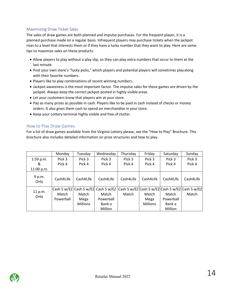# <span id="page-13-0"></span>Maximizing Draw Ticket Sales

The sales of draw games are both planned and impulse purchases. For the frequent player, it is a planned purchase made on a regular basis. Infrequent players may purchase tickets when the jackpot rises to a level that interests them or if they have a lucky number that they want to play. Here are some tips to maximize sales on these products:

- Allow players to play without a play slip, so they can play extra numbers that occur to them at the last minute.
- Post your own store's "lucky picks," which players and potential players will sometimes playalong with their favorite numbers.
- Players like to play combinations of recent winning numbers.
- Jackpot awareness is the most important factor. The impulse sales for these games are driven by the jackpot. Always keep the correct jackpot posted in highly visible areas.
- Let your customers know that players win at yourstore.
- Pay as many prizes as possible in cash. Players like to be paid in cash instead of checks or money orders. It also gives them cash to spend on merchandise in your store.
- Keep your Lottery terminal highly visible and free of clutter.

# <span id="page-13-1"></span>How to Play Draw Games

For a list of draw games available from the Virginia Lottery please, see the "How to Play" Brochure. This brochure also includes detailed information on prize structures and how to play.

|                | Monday    | Tuesday         | Wednesday                                                                              | Thursday  | Friday          | Saturday  | Sunday    |
|----------------|-----------|-----------------|----------------------------------------------------------------------------------------|-----------|-----------------|-----------|-----------|
| $1:59$ p.m.    | Pick 3    | Pick 3          | Pick 3                                                                                 | Pick 3    | Pick 3          | Pick 3    | Pick 3    |
| &              | Pick 4    | Pick 4          | Pick 4                                                                                 | Pick 4    | Pick 4          | Pick 4    | Pick 4    |
| 11:00 p.m.     |           |                 |                                                                                        |           |                 |           |           |
| 9 p.m.<br>Only | Cash4Life | Cash4Life       | Cash4Life                                                                              | Cash4Life | Cash4Life       | Cash4Life | Cash4Life |
|                |           |                 | Cash 5 w/EZ  Cash 5 w/EZ  Cash 5 w/EZ  Cash 5 w/EZ Cash 5 w/EZ Cash 5 w/EZ Cash 5 w/EZ |           |                 |           |           |
| 11 p.m.        | Match     | Match           | Match                                                                                  | Match     | Match           | Match     | Match     |
| Only           | Powerball | Mega            | Powerball                                                                              |           | Mega            | Powerball |           |
|                |           | <b>Millions</b> | Bank a                                                                                 |           | <b>Millions</b> | Bank a    |           |
|                |           |                 | Million                                                                                |           |                 | Million   |           |

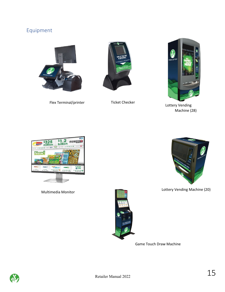# <span id="page-14-0"></span>Equipment



Flex Terminal/printer Ticket Checker





Lottery Vending Machine (28)



Multimedia Monitor



Lottery Vending Machine (20)

<span id="page-14-1"></span>

Game Touch Draw Machine

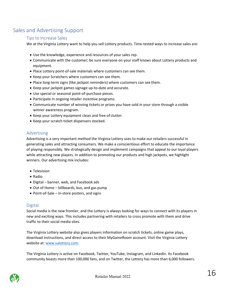# <span id="page-15-0"></span>Sales and Advertising Support

# Tips to Increase Sales

We at the Virginia Lottery want to help you sell Lottery products. Time-tested ways to increase sales are:

- Use the knowledge, experience and resources of your sales rep.
- Communicate with the customer; be sure everyone on your staff knows about Lottery products and equipment.
- Place Lottery point-of-sale materials where customers can see them.
- Keep your Scratchers where customers can see them.
- Place long-term signs (like jackpot reminders) where customers can see them.
- Keep your jackpot games signage up-to-date and accurate.
- Use special or seasonal point-of-purchase pieces.
- Participate in ongoing retailer incentive programs.
- Communicate number of winning tickets or prizes you have sold in your store through a visible winner awareness program.
- Keep your Lottery equipment clean and free of clutter.
- Keep your scratch ticket dispensers stocked.

# <span id="page-15-1"></span>Advertising

Advertising is a very important method the Virginia Lottery uses to make our retailers successful in generating sales and attracting consumers. We make a conscientious effort to educate the importance of playing responsibly. We strategically design and implement campaigns that appeal to our loyal players while attracting new players. In addition to promoting our products and high jackpots, we highlight winners. Our advertising mix includes:

- Television
- Radio
- Digital banner, web, and Facebook ads
- Out of Home billboards, bus, and gas pump
- Point-of-Sale in-store posters, and signs

# <span id="page-15-2"></span>**Digital**

Social media is the new frontier, and the Lottery is always looking for ways to connect with its players in new and exciting ways. This includes partnering with retailers to cross promote with them and drive traffic to their social media sites.

The Virginia Lottery website also gives players information on scratch tickets, online game plays, download instructions, and direct access to their MyGameRoom account. Visit the Virginia Lottery website at: www.valottery.com.

The Virginia Lottery is active on Facebook, Twitter, YouTube, Instagram, and LinkedIn. Its Facebook community boasts more than 100,000 fans, and on Twitter, the Lottery has more than 6,000 followers.

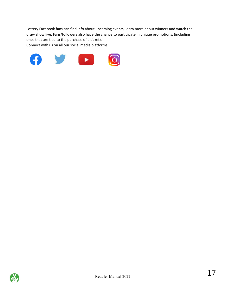<span id="page-16-0"></span>Lottery Facebook fans can find info about upcoming events, learn more about winners and watch the draw show live. Fans/followers also have the chance to participate in unique promotions, (including ones that are tied to the purchase of a ticket).

Connect with us on all our social media platforms:



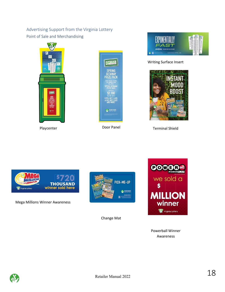# Advertising Support from the Virginia Lottery

<span id="page-17-0"></span>Point of Sale and Merchandising





Playcenter **Door Panel** 



Writing Surface Insert



Terminal Shield



Mega Millions Winner Awareness



Change Mat



Powerball Winner Awareness

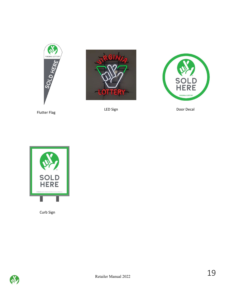





LED Sign Door Decal





Curb Sign

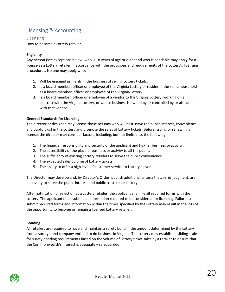# <span id="page-19-0"></span>Licensing & Accounting

# <span id="page-19-1"></span>Licensing

How to become a Lottery retailer

# **Eligibility**

Any person (see exceptions below) who is 18 years of age or older and who is bondable may apply for a license as a Lottery retailer in accordance with the provisions and requirements of the Lottery's licensing procedures. No one may apply who:

- 1. Will be engaged primarily in the business of selling Lottery tickets.
- 2. Is a board member, officer or employee of the Virginia Lottery or resides in the same household as a board member, officer or employee of the Virginia Lottery.
- 3. Is a board member, officer or employee of a vendor to the Virginia Lottery, working on a contract with the Virginia Lottery, or whose business is owned by or controlled by or affiliated with that vendor.

## **General Standards for Licensing**

The director or designee may license those persons who will best serve the public interest, convenience and public trust in the Lottery and promote the sales of Lottery tickets. Before issuing or renewing a license, the director may consider factors, including, but not limited to, the following:

- 1. The financial responsibility and security of the applicant and his/her business or activity.
- 2. The accessibility of the place of business or activity to all the public.
- 3. The sufficiency of existing Lottery retailers to serve the public convenience.
- 4. The expected sales volume of Lottery tickets.
- 5. The ability to offer a high level of customer service to Lottery players.

The Director may develop and, by Director's Order, publish additional criteria that, in his judgment, are necessary to serve the public interest and public trust in the Lottery.

After notification of selection as a Lottery retailer, the applicant shall file all required forms with the Lottery. The applicant must submit all information required to be considered for licensing. Failure to submit required forms and information within the times specified by the Lottery may result in the loss of the opportunity to become or remain a licensed Lottery retailer.

#### **Bonding**

All retailers are required to have and maintain a surety bond in the amount determined by the Lottery from a surety bond company entitled to do business in Virginia. The Lottery may establish a sliding scale for surety bonding requirements based on the volume of Lottery ticket sales by a retailer to ensure that the Commonwealth's interest is adequately safeguarded.

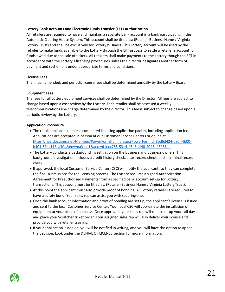#### **Lottery Bank Accounts and Electronic Funds Transfer (EFT) Authorization**

All retailers are required to have and maintain a separate bank account in a bank participating in the Automatic Clearing House System. This account shall be titled as: (Retailer-Business Name / Virginia Lottery Trust) and shall be exclusively for Lottery business. This Lottery account will be used by the retailer to make funds available to the Lottery through the EFT process to settle a retailer's account for funds owed due to the sale of tickets. All retailers shall make payments to the Lottery though the EFT in accordance with the Lottery's licensing procedures unless the director designates another form of payment and settlement under appropriate terms and conditions.

## **License Fees**

The initial, amended, and periodic license fees shall be determined annually by the Lottery Board.

## **Equipment Fees**

The fees for all Lottery equipment services shall be determined by the Director. All fees are subject to change based upon a cost review by the Lottery. Each retailer shall be assessed a weekly telecommunications line charge determined by the director. This fee is subject to change based upon a periodic review by the Lottery.

## **Application Procedure**

- The retail applicant submits a completed licensing application packet, including application fee. Applications are accepted in-person at our Customer Service Centers or online a[t](https://na3.docusign.net/Member/PowerFormSigning.aspx?PowerFormId=8bd6d424-d80f-4b00-b401-534c113ca30a&env=na3-eu1&acct=d1ecc785-5314-46e3-af40-4043a48988aa) [https://na3.docusign.net/Member/PowerFormSigning.aspx?PowerFormId=8bd6d424-d80f-4b00](https://na3.docusign.net/Member/PowerFormSigning.aspx?PowerFormId=8bd6d424-d80f-4b00-b401-534c113ca30a&env=na3-eu1&acct=d1ecc785-5314-46e3-af40-4043a48988aa) [b401-534c113ca30a&env=na3-eu1&acct=d1ecc785-5314-46e3-af40-4043a48988aa](https://na3.docusign.net/Member/PowerFormSigning.aspx?PowerFormId=8bd6d424-d80f-4b00-b401-534c113ca30a&env=na3-eu1&acct=d1ecc785-5314-46e3-af40-4043a48988aa)
- The Lottery conducts a background investigation on the business and business owners. This background investigation includes a credit history check, a tax record check, and a criminal record check.
- If approved, the local Customer Service Center (CSC) will notify the applicant, so they can complete the final submissions for the licensing process. The Lottery requires a signed Authorization Agreement for Preauthorized Payments from a specified bank account set-up for Lottery transactions. This account must be titled as: (Retailer-Business Name / Virginia Lottery Trust).
- At this point the applicant must also provide proof of bonding. All Lottery retailers are required to have a surety bond. Your sales rep can assist you with securing one.
- Once the bank account information and proof of bonding are set up, the applicant's license is issued and sent to the local Customer Service Center. Your local CSC will coordinate the installation of equipment at your place of business. Once approved, your sales rep will call to set-up your call day and place your Scratcher ticket order. Your assigned sales rep will also deliver your license and provide you with retailer training.
- If your application is denied, you will be notified in writing, and you will have the option to appeal the decision. Look under the DENIAL OF LICENSE section for more information.

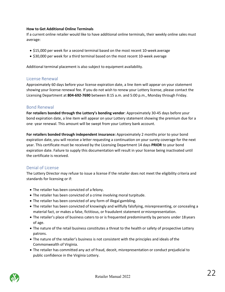#### **How to Get Additional Online Terminals**

If a current online retailer would like to have additional online terminals, their weekly online sales must average:

- \$15,000 per week for a second terminal based on the most recent 10-week average
- \$30,000 per week for a third terminal based on the most recent 10-week average

Additional terminal placement is also subject to equipment availability.

# <span id="page-21-0"></span>License Renewal

Approximately 60 days before your license expiration date, a line item will appear on your statement showing your license renewal fee. If you do not wish to renew your Lottery license, please contact the Licensing Department at **804-692-7690** between 8:15 a.m. and 5:00 p.m., Monday through Friday.

# <span id="page-21-1"></span>Bond Renewal

**For retailers bonded through the Lottery's bonding vendor**: Approximately 30-45 days before your bond expiration date, a line item will appear on your Lottery statement showing the premium due for a one -year renewal. This amount will be swept from your Lottery bank account.

**For retailers bonded through independent insurance:** Approximately 2 months prior to your bond expiration date, you will receive a letter requesting a continuation on your surety coverage for the next year. This certificate must be received by the Licensing Department 14 days **PRIOR** to your bond expiration date. Failure to supply this documentation will result in your license being inactivated until the certificate is received.

# <span id="page-21-2"></span>Denial of License

The Lottery Director may refuse to issue a license if the retailer does not meet the eligibility criteria and standards for licensing or if:

- The retailer has been convicted of a felony.
- The retailer has been convicted of a crime involving moral turpitude.
- The retailer has been convicted of any form of illegal gambling.
- The retailer has been convicted of knowingly and willfully falsifying, misrepresenting, or concealing a material fact, or makes a false, fictitious, or fraudulent statement ormisrepresentation.
- The retailer's place of business caters to or is frequented predominantly by persons under 18 years of age.
- The nature of the retail business constitutes a threat to the health or safety of prospective Lottery patrons.
- The nature of the retailer's business is not consistent with the principles and ideals ofthe Commonwealth of Virginia.
- The retailer has committed any act of fraud, deceit, misrepresentation or conduct prejudicial to public confidence in the Virginia Lottery.

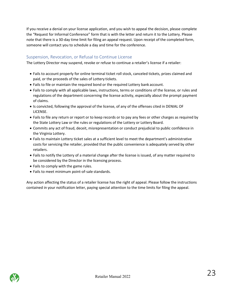If you receive a denial on your license application, and you wish to appeal the decision, please complete the "Request for Informal Conference" form that is with the letter and return it to the Lottery. Please note that there is a 30-day time limit for filing an appeal request. Upon receipt of the completed form, someone will contact you to schedule a day and time for the conference.

# <span id="page-22-0"></span>Suspension, Revocation, or Refusal to Continue License

The Lottery Director may suspend, revoke or refuse to continue a retailer's license if a retailer:

- Fails to account properly for online terminal ticket roll stock, canceled tickets, prizes claimed and paid, or the proceeds of the sales of Lottery tickets.
- Fails to file or maintain the required bond or the required Lottery bank account.
- Fails to comply with all applicable laws, instructions, terms or conditions of the license, or rules and regulations of the department concerning the license activity, especially about the prompt payment of claims.
- Is convicted, following the approval of the license, of any of the offenses cited in DENIAL OF LICENSE.
- Fails to file any return or report or to keep records or to pay any fees or other charges as required by the State Lottery Law or the rules or regulations of the Lottery or Lottery Board.
- Commits any act of fraud, deceit, misrepresentation or conduct prejudicial to public confidence in the Virginia Lottery.
- Fails to maintain Lottery ticket sales at a sufficient level to meet the department's administrative costs for servicing the retailer, provided that the public convenience is adequately served by other retailers.
- Fails to notify the Lottery of a material change after the license is issued, of any matter required to be considered by the Director in the licensing process.
- Fails to comply with the game rules.
- Fails to meet minimum point-of-sale standards.

Any action affecting the status of a retailer license has the right of appeal. Please follow the instructions contained in your notification letter, paying special attention to the time limits for filing the appeal.

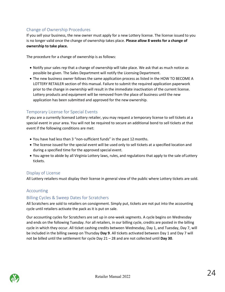# <span id="page-23-0"></span>Change of Ownership Procedures

If you sell your business, the new owner must apply for a new Lottery license. The license issued to you is no longer valid once the change of ownership takes place. **Please allow 8 weeks for a change of ownership to take place.**

The procedure for a change of ownership is as follows:

- Notify your sales rep that a change of ownership will take place. We ask that as much notice as possible be given. The Sales Department will notify the Licensing Department.
- The new business owner follows the same application process as listed in the HOW TO BECOME A LOTTERY RETAILER section of this manual. Failure to submit the required application paperwork prior to the change in ownership will result in the immediate inactivation of the current license. Lottery products and equipment will be removed from the place of business until the new application has been submitted and approved for the new ownership.

# <span id="page-23-1"></span>Temporary License for Special Events

If you are a currently licensed Lottery retailer, you may request a temporary license to sell tickets at a special event in your area. You will not be required to secure an additional bond to sell tickets at that event if the following conditions are met:

- You have had less than 3 "non-sufficient funds" in the past 12months.
- The license issued for the special event will be used only to sell tickets at a specified location and during a specified time for the approved special event.
- You agree to abide by all Virginia Lottery laws, rules, and regulations that apply to the sale ofLottery tickets.

# <span id="page-23-2"></span>Display of License

All Lottery retailers must display their license in general view of the public where Lottery tickets are sold.

# <span id="page-23-3"></span>Accounting

# <span id="page-23-4"></span>Billing Cycles & Sweep Dates for Scratchers

All Scratchers are sold to retailers on consignment. Simply put, tickets are not put into the accounting cycle until retailers activate the pack as it is put on sale.

Our accounting cycles for Scratchers are set up in one-week segments. A cycle begins on Wednesday and ends on the following Tuesday. For all retailers, in our billing cycle, credits are posted in the billing cycle in which they occur. All ticket cashing credits between Wednesday, Day 1, and Tuesday, Day 7, will be included in the billing sweep on Thursday **Day 9**. All tickets activated between Day 1 and Day 7 will not be billed until the settlement for cycle Day 21 – 28 and are not collected until **Day 30**.

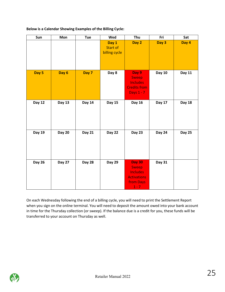| Sun           | Mon           | <b>Tue</b>    | Wed                                       | Thu                                                                                     | Fri           | Sat           |
|---------------|---------------|---------------|-------------------------------------------|-----------------------------------------------------------------------------------------|---------------|---------------|
|               |               |               | Day 1<br><b>Start of</b><br>billing cycle | Day 2                                                                                   | Day 3         | Day 4         |
| Day 5         | Day 6         | Day 7         | Day 8                                     | Day 9<br><b>Sweep</b><br><b>Includes</b><br><b>Credits from</b><br><b>Days 1 - 7</b>    | <b>Day 10</b> | Day 11        |
| Day 12        | Day 13        | Day 14        | Day 15                                    | Day 16                                                                                  | Day 17        | <b>Day 18</b> |
| Day 19        | <b>Day 20</b> | <b>Day 21</b> | <b>Day 22</b>                             | <b>Day 23</b>                                                                           | <b>Day 24</b> | <b>Day 25</b> |
| <b>Day 26</b> | <b>Day 27</b> | <b>Day 28</b> | <b>Day 29</b>                             | <b>Day 30</b><br>Sweep<br><b>Includes</b><br><b>Activations</b><br>from Days<br>$1 - 7$ | <b>Day 31</b> |               |

**Below is a Calendar Showing Examples of the Billing Cycle:**

On each Wednesday following the end of a billing cycle, you will need to print the Settlement Report when you sign on the online terminal. You will need to deposit the amount owed into your bank account in time for the Thursday collection (or sweep). If the balance due is a credit for you, these funds will be transferred to your account on Thursday as well.